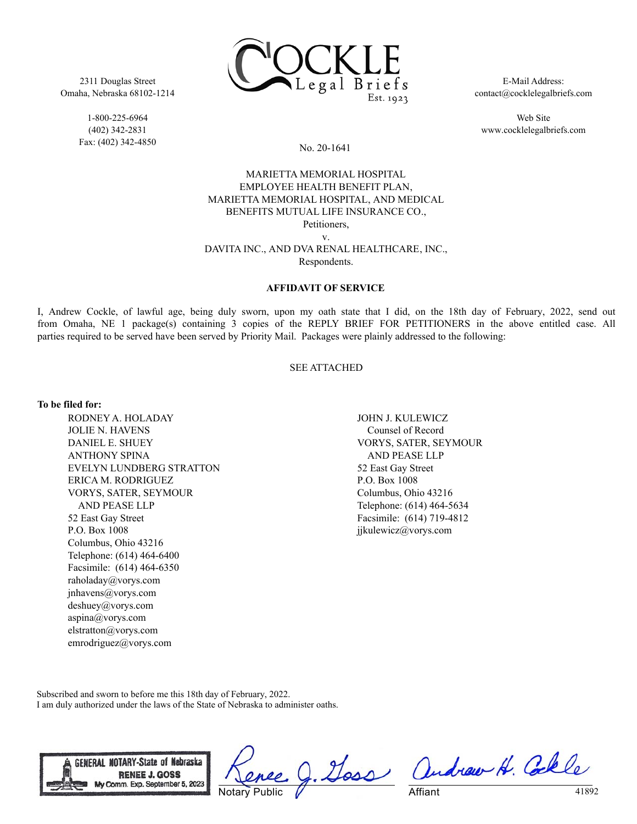

2311 Douglas Street Omaha, Nebraska 68102-1214

> 1-800-225-6964 (402) 342-2831 Fax: (402) 342-4850

E-Mail Address: contact@cocklelegalbriefs.com

Web Site www.cocklelegalbriefs.com

# No. 20-1641

# MARIETTA MEMORIAL HOSPITAL EMPLOYEE HEALTH BENEFIT PLAN, MARIETTA MEMORIAL HOSPITAL, AND MEDICAL BENEFITS MUTUAL LIFE INSURANCE CO., Petitioners,

v.

# DAVITA INC., AND DVA RENAL HEALTHCARE, INC., Respondents.

## **AFFIDAVIT OF SERVICE**

I, Andrew Cockle, of lawful age, being duly sworn, upon my oath state that I did, on the 18th day of February, 2022, send out from Omaha, NE 1 package(s) containing 3 copies of the REPLY BRIEF FOR PETITIONERS in the above entitled case. All parties required to be served have been served by Priority Mail. Packages were plainly addressed to the following:

### SEE ATTACHED

#### **To be filed for:**

RODNEY A. HOLADAY JOLIE N. HAVENS DANIEL E. SHUEY ANTHONY SPINA EVELYN LUNDBERG STRATTON ERICA M. RODRIGUEZ VORYS, SATER, SEYMOUR AND PEASE LLP 52 East Gay Street P.O. Box 1008 Columbus, Ohio 43216 Telephone: (614) 464-6400 Facsimile: (614) 464-6350 raholaday@vorys.com jnhavens@vorys.com deshuey@vorys.com aspina@vorys.com elstratton@vorys.com emrodriguez@vorys.com

JOHN J. KULEWICZ Counsel of Record VORYS, SATER, SEYMOUR AND PEASE LLP 52 East Gay Street P.O. Box 1008 Columbus, Ohio 43216 Telephone: (614) 464-5634 Facsimile: (614) 719-4812 jjkulewicz@vorys.com

Subscribed and sworn to before me this 18th day of February, 2022. I am duly authorized under the laws of the State of Nebraska to administer oaths.



Notary Public

g. Goss andrew H. Colle